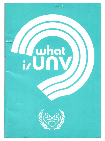# Luhat<br>izUNV

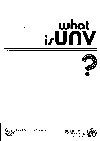## **what i,unv**





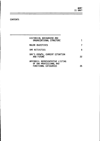## CONTENTS

| HISTORICAL BACKGROUND AND<br>ORGANIZATIONAL STRUCTURE                                |    |
|--------------------------------------------------------------------------------------|----|
| <b>MAJOR OBJECTIVES</b>                                                              |    |
| UNV ACTIVITIES                                                                       | 8  |
| UNV'S GROWTH, CURRENT SITUATION<br><b>AND FUTURE</b>                                 | 22 |
| APPENDIX: REPRESENTATIVE LISTING<br>OF UNV PROFESSIONAL AND<br>FUNCTIONAL CATEGORIES |    |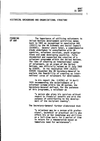### HISTORICAL BACKGROUND AND ORGANIZATIONAL STRUCTURE

FOUNDING OF UNV

The importance of utilizing volunteers in United Nations development activities dates back to 1961 as recognized in resolution 849 (XXXII) by the UN Economic and Social Council<br>(ECOSOC). Several years later, a comprehensive study undertaken in consultation with UN<br>agencies, volunteer services, youth organizations and some developing countries fully<br>documented and supported the creation of a volunteer programme within the United Nations. The idea of creating an international corps of volunteers, as an organ of the United Nations, was officially raised on 31 July 1969 ECOSOC requested the UN Secretary-General to explore the feasibility of creating an international corps of volunteers for development.

In his report (No. E/4790) of 14 April 1970 recommending the establishment of a volunteer scheme within the UN system, the Secretary-General defined, for the purposes of this programme, a volunteer as

> "a person who gives his services without regard to financial benefit and with the purpose of contributing to the development of the recipient country".

The Secretary-General further elaborated that

•a volunteer may be a person with profes- sional, technical or practical skills who offers his or her knowledge and abilities on a full-time basis for a period of time in return for a remuneration based on immediate need for maintenance".

Ť.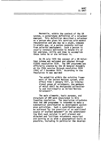Meanwhile, within the context of the UN system, a cornerstone definition of a volunteer emerged. This definition described a volunteer **as a** person who gives his services with modest remuneration and who may be a youth, someone in middle age, or a person recently retired from salaried employment. Such a person is usually strongly motivated to donate his or her energies, skills and time to accomplish those tasks he or she believes in.

On 28 July 1970 the concept of a UN Volunteer scheme was welcomed and adopted through ECOSOC resolution 1539. The UNV programme was officially created by the UN General Assembly at its 25th session through resolution 2659 (XXV) of 7 December 1970. According to the resolution it was decided

> "to establish within the existing framework of the United Nations system, with effect from l January 1971, an international group of volunteers, the members of which shall be designated collectively and individually as United Nations Volunteers".

The main elements, basic purpose, and structure of UNV were enunciated in this founding resolution. The resolution stipulates that the UNV programme is intended to make a substantial contribution to development assistance activities. Such a contribution would be achieved "by the provision of an additional source of trained manpower" on the understanding that such service is well planned and directed and "utilizes volunteers recruited and serving on as wide a geographical basis as possible, including in particular the develop $\overline{2}$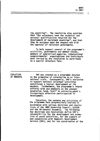ing countries". The resolution also provides that "the volunteers have the technical and personal qualifications required for the development of recipient countries', and that they be assigned upon the request and with the approval of recipient governments.

To help support several of the progranme's activities, governments and member states, members of specialized agencies, international nongovernmental organizations and individuals were invited by the resolution to contribute to a special voluntary fund.

EVOLUTION OF MANDATE UNY was created as a programme devoted to the promotion of voluntarism on an international scale. Consequently, UNV's evolution to support national volunteer activities constitutes a logical development of its mandate. Furthermore, the programme's innate generation lends itself to achieving youth's increasingly effective participation in development.

> Therefore, the mandate and activities of the progranme have progressively evolved in accordance with various decisions and resolutions of the UNOP Governing Council, ECOSOC and the UN General Assembly. The following key decisions and resolutions define UNV's tion of youth activities, for the support of and cooperation with Domestic Development<br>Service (DDS), and for the coordination of the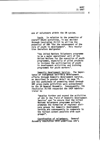4

use of volunteers within the UN system.

Youth. In relation to the promotion of overall youth activities, it was decided through resolution 31/131 to utilize the potential of UNV "for the advancement of the role of youth in development". This resolution therefore designated

> "the United Nations Volunteers programme to be a major operational unit of the United Nations for the execution of youth programmes, especially of pilot projects<br>to increase the participation of youth in development activities and training programmes for youth workers".

Domestic Development Service. The importance of 1nd1genous self-help development efforts through Domestic Development Service, as described in greater detail on page 14,<br>and the usefulness of promoting these through UNV grass-roots activities were acknowledged<br>by the UN General Assembly. Consequently, its resolution 31/166 requested the UNDP Administrator to

> "develop further and expand the activities Service" and "to ensure that the United Nations Volunteers programme actively promotes the formation of regional advi-<br>sory groups for Domestic Development Service and subsequently to cooperate to the fullest extent possible with such groups•.

Coordination of volunteers. General Assembly resolution 2810 underlines UNV's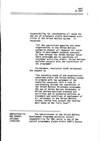responsibility for coordinating all needs for and use of volunteers within development activities of the United Nations system. It requested

> "all the specialized agencies and other organizations in the United Nations system to channel all requests for volunteers in development projects executed by them through the United Nations Volunteers programme and to coordinate all volunteer activities within United Nationsassisted projects with the Coordinator of the programme".

Furthermore, resolution 33/84 reiterated the request to

"the executive heads of the organizations concerned within the United Nations system to promote with the agreement of the countries concerned, with a view to coordinating through the Coordinator of the United Nations Volunteers programme, the use of United Nations Volunteers in United Nations-assisted projects and activities and to harmonize policies on placement and conditions of employment of all volunteers in the United Nations system, taking into account the development needs at the field level".

ADMINISTRATIVE ANO ORGANI-ZATIONAL **STRUCTURE** The Administrator of the United Nations Development Programme maintains overall responsibility for UNV, which is one of the special progranunes placed within UNDP's Bureau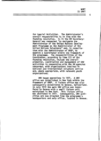for Special Activities. The Administrator's overall responsibility is in line with the founding resolution. In it the UN Secretary-General was requested "to designate the Administrator of the United Nations Development Programne as the Administrator of the United Nations Volunteers" and, in consultation with the Administrator of UNDP, to appoint a Coordinator within the framework of the programne. The responsibilities of the Coordinator, according to item Ill of the founding resolution, include the overall promotion, coordination and management of UNY activities in cooperation with the UN agencies concerned, with organizations involved in national and international voluntary service and, where appropriate, with relevant youth<br>organizations.

UNY began operations in 1971. A UNY office was established in New York within the framework of UNDP. A liaison office was also subsequently established in Geneva, Switzerland. In July 1972 the main UNY office was transfered to Geneva with a small liaison unit maintained in New York. This liaison office was abolished in 1977. Consequently, UNV activities are now directed from the programme's headquarters and only office, located in Geneva.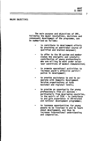### MAJOR OBJECTIVES

The main purpose and objectives of UNY, following the major resolutions, decisions and consequent development of the programme, can be summarized as follows:

- to contribute to development efforts by providing an additional source of qualified and trained manpower;
- to offer to the UN system and member contribution of young professionals<br>who are willing to work under volunteer conditions of modest remuneration;
- to promote operational activities to increase youth's effective partici- pation in development;
- to provide assistance to and to cooperate with Domestic Development Service organizations at both national and regional levels;
- to provide an opportunity for young<br>professionals from all nations -<br>particularly from developing countries, in the spirit of TCDC - to contribute to and gain experience in UN-related and national development programnes;
- to increase opportunities for young people to be involved in and to learn about development, and thus to increase international understanding and cooperation.

7

WHAT IS UNY?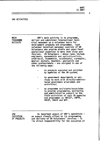### UNY ACTIVITIES

MAIN PROGRAMME ACTIVITY

UNV's main activity is to programme, deliver and administer international technical manpower on a volunteer basis for development projects and programmes. Such volunteer technical manpower consists of UN operational expertise in more than sixty pro-<br>fessions. UN Volunteers - whose ranks include<br>engineers. agronomists and agriculturalists. architects, economists, accountants, surveyors, medical doctors, teachers, geologists and other professionals - are assigned in one of the following **ways:** 

- **to projects executed and assisted**  by agencies of the UN system;
- to government departments or services to work with directly-adminis- tered government programmes and **activities;**
- as programme assistants/associates<br>to provide programming, monitoring and administrative support to the<br>field activities of such UN agencies and programmes as UNICEF, UNFPA, UNCOF, UNHCR and WFP.

UNY EXECUTION OF PROJECTS An important aspect of UNV's operations - an aspect closely allied to its programming and delivery of UN Volunteers' services - is its direct responsibility for the execution of 8

WHAT IS UNY?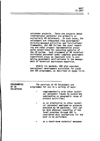volunteer projects. These are projects whose international personnel are primarily or exclusively UN Volunteers. In such cases, the volunteers are integrated into governments' directly-managed activities and institutional ing and other project implementation proce-<br>dures established for executing agencies of the UN system. Such placement of UN technical assistance personnel under complete government supervision plays an important role in pro- moting government self-reliance in the management of technical assistance expertise.

Within its mandate, UNV also executes<br>operational development activities for youth and DDS programmes, as described on pages 13-16.

| <b>PROGRAMMING</b><br>OF UN<br><b>VOLUNTEERS</b> | The services of UN Volunteers are<br>programmed for use in a variety of ways:                                                                                                                                                                       |
|--------------------------------------------------|-----------------------------------------------------------------------------------------------------------------------------------------------------------------------------------------------------------------------------------------------------|
|                                                  | complementarily with other techni-<br>cal personnel inputs to extend the<br>substantive or geographic range of<br>project activities:                                                                                                               |
|                                                  | as an alternative to other techni-<br>cal personnel employed on projects<br>executed by UN agencies; this can<br>be done whenever expertise of the<br>level provided through UNV is<br>considered most appropriate for the<br>work to be performed; |
|                                                  | as a short-term technical manpower                                                                                                                                                                                                                  |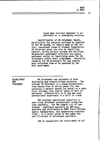input when national manpower is unavailable or is undergoing training.

Identification of UN Volunteer inputs, particularly for projects assisted by agencies of the UN system, is ideally made at the initial, conceptual stage of project formulation. UN Volunteer posts can also be identified, however, during project reviews and revisions. personnel assist in identifying needs for UN Volunteers within their programmes. Naturally, requests for UN Volunteers for any country must originate from or be approved by the . host government.

RECRUITMENT AND PLACEMENT

UN Volunteers are nationals of both developing and industrialized countries. The average UN Volunteer is a young professional, from twenty-five to thirty years old, who possesses a masters degree (or above) or a technical diploma, plus several years of work experience; alternatively he or she may have professional experience in a skill or trade.

UNY provides operational expertise in over sixty different professional categories (see appendix). The UNY Sample List of Candidates - published quarterly by UNY headquarters and distributed to UNOP field offices, agency headquarters, and cooperating organiza- tions - is a useful guide to the types and qualifications of volunteers available.

UNY is responsible for recruitment of all

10

WHAT IS UNY?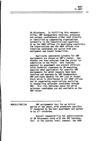11

UN Volunteers. In fulfilling this responsi-<br>bility, UNY headquarters receives, processes<br>and screens candidatures either sent directly<br>or identified by cooperating organizations  $($ orimarily in the industrialized countries) or by the UNOP offices {in developing countries). The organizations and the UNOP offices also interview candidates and assist with pre-<br>assignment and travel formalities.

Applicants considered suitable for UNY assignments are placed on UNV's roster. Candidates are then selected from the roster for submission to the field: this involves approval by government and project officials<br>(with technical clearance by UN executing agencies when applicable) for specific UNV assignments for which requests have been<br>received and approved by UNV headquarters. UNY publishes monthly its UNY List of Vacant Posts which is distributed to all UNDP offices<br>and to cooperating organizations assisting in channelling volunteer candidates through<br>UNV. This list indicates posts for which volunteer candidates are not available on the UNY roster.

ADMINISTRATION UNY assignments last for an initial period of two years, with extensions possible if requested by the host government and agreed to by all concerned.

> Overall responsibility for administration of UN Volunteers rests with the UNY Coordinator; at the country level, however, the UNOP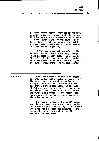Resident Representative provides appropriate administrative backstopping and other support. UN Volunteers are administered in accordance with the Instructions for Administration of United Nations Volunteers, copies of which are available in all UNOP offices as part of the UNOP/UNV/Field series.

UN Volunteers are paid no salary. They receive instead a monthly living allowance (MLA} adequate to meet their living expenses. The MLA varies by country and with time in accordance with the UN post adjustment (cost of living) index prevailing in each country.

### MONITORING

Technical supervision for UN Volunteers assigned to projects executed by agencies of the UN system is provided by the Project Manager, Chief Technical Adviser or other designated project personnel. In the case of<br>UN Volunteers assigned directly to government activities, overall technical direction and supervision is provided by the responsible host country officer under whose direction the volunteer works.

The general progress of each UNY assignment is monitored through a system of periodic performance reports prepared by the volunteer. These reports also bear the comments of the responsible supervisor and of the UNOP Resident Representative.

WHAT IS UNV?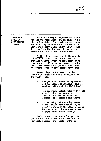13

YOUTH AND DOMESTIC DEVELOPMENT **SERVICE** 

UNV's other major programme activities reflect its responsibility, bestowed by two distinct mandates, for providing assistance and promoting cooperation in the fields of youth and Domestic Development Service (DDS). This involves the development, support and execution of activities in these **areas.** 

Youth. In accordance **with** its mandate, UNV promotes operational activities to increase youth's effective participation in development. UNV's approach emphasizes the particular relevance of youth's involvement in certain kinds of development activities.

Several important elements can be underlined concerning UNV's involvement in the youth field.

- UNV youth activities are operational and are geared to practical development activities at the field level.
- The programme collaborates with youth<br>organizations and youth service agencies and does so under the **auspices of concerned governments.**
- In designing and executing opera- tional development activities, UNY seeks to maximize the value of youth<br>both as a participatory and a beneficiary agent within society.

UNV's current programme of support to youth activities - within the framework of regional, national and special projects -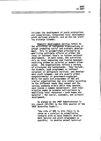14

includes the development of youth enterprises and cooperatives, integrated rural development youth workcamp projects, and on-the-job training exchange schemes.

Domestic Development Service refers to the activities of indigenous organizations or groups promoting social and economic develop-<br>ment. This is accomplished principally by mobilizing self-help efforts at either the local or national levels to further national development. In most cases, DOS activities rely on local resources and involve manpower<br>receiving either no salaries or modest allow-<br>ances. DDS organizations reflect a variety of structures and backgrounds. They include, for example, such programmes as national volunteer or obligatory services and development youth schemes, and are usually either<br>nongovernmental or government-supported. While the goals and programmes of DDS and similar organizations may vary widely according to the different needs they answer and the<br>various contexts within which they operate. each shares a common denominator: each orga-<br>nization seeks to promote self-reliance by<br>mobilizing local resources - both human and material - for social, economic, and cultural development.

As stated by the UNOP Administrator in his report (DP/330) to the 25th session of the UNOP Governing Council,

> "the role of UNY in this field is to serve as a catalyst by establishing contacts with as many Domestic Development Service and youth programmes as possible; to develop mutual technical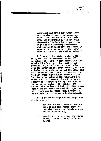assistance and joint programmes among such services; and to encourage and assist such services to extend their<br>scope and programmes by the judicious placement of UN Volunteers experienced<br>in social and community development<br>work and youth leadership and generally<br>expected to serve under similar conditions and terms as national volunteers".

In line with the Administrator's statement, the level of remuneration for DDS volunteers is generally more modest than for regular UN Volunteers. The level of DDS remuneration, established in consultation with the concerned DDS organizations, reflects **<sup>a</sup>**desire to maintain the nonnal DDS atmosphere which de-emphasizes financial concerns. In this way sharp distinctions between DDS/UN Volunteers and national DDS volunteers are experience - including living conditions and<br>the volunteer status - is shared. The the volunteer status - is shared. successful experience of DDS activities proves that there are among national DDS organiza- tions young men and women fully prepared to participate in this approach to development.

UNY-executed or supported DDS programmes are helping to:

- further the institutional development of and cooperation among DDS organizations at the local, national and regional levels;
- provide needed technical assistance through the services of UN Volun**teers;**

15

WHAT IS UNY?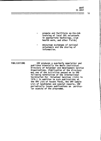promote and facilitate on-the-job<br>training of local DDS volunteers in appropriate technology, slum health work, and other fields;

encourage exchanges of national volunteers and the sharing of information.

PUBLICATIONS UNV produces a quarterly newsletter and publishes biennially the World Statistical Directory of Volunteer and Development Service Organizations. (Publication of the directory was one of the activities passed on to UNV following termination of the International Secretariat for Volunteer Services (ISVS) in 1976.) In addition to such publications as the UNV List of Vacant Posts, the UNV Sample List of Candidates and special reports, UNV periodically issues publications on particu- lar aspects of the programme.

WHAT IS UNV?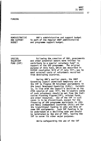**FUNDING** 

ADMINISTRATIVE UNV's administrative and support budget is part of the regular UNDP administrative and programme support budget.

**SPECIAL** VOLUNTARY FUND (SVF)

AND SUPPORT **BUDGET** 

> Following the creation of UNV, governments and other potential donors were invited "to contribute to **a** special voluntary fund" in support of the UNV programme. The original purpose of this fund, which was described in ECOSOC resolution 1618 of 27 July 1971, was to meet external costs of volunteers recruited from developing countries.

> During UNV's earlier years, the UNDP Governing Council permitted temporary use of the SVF to finance UN Volunteer assignments in the Least Developed Countries (LDCs). Currently, in line with the Council's decision at its 24th session of June 1977, the in-country costs of such volunteers should be met from the Indicative Planning Figures(IPF), related funds, and other resources. Use of the SVF in such cases is to be discontinued, except for the financing of UNV programme assistants in LDCs and Newly Independent Countries (NICs} and for the transitional funding in LDCs and NICs of some UNV assignments. Such SVF funding is to be undertaken at a declining rate and should be terminated by the end of 1981, leaving the SVF to serve its other major purposes.

> > While safeguarding the use of the SVF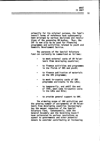primarily for its original purpose, the fund's been enlarged by various decisions and resolutions of the governing UN bodies. Thus, the programmes and activities related to youth and Domestic Development Service.

The purposes of the Special Voluntary<br>Fund can currently be summarized as follows:

- to meet external costs of UN Volunteers from developing countries;
- to finance activities and programmes<br>in the fields of DDS and youth;
- to finance publication of materials on the UNY programme;
- to meet in-country costs of UNY programme assistants in the LDCs;
- to temporarily, and until the end of 1981, meet some in-country costs in the LDCs and NICs;

to provide general support to UNY.

The widening scope of UNY activities and the growing number of assignments of UN Volunteers from developing countries increasingly<br>tax the meager resources of the Special Voluntary Fund. Consequently, both the General Assembly and the Governing Council have reiterated in various resolutions an<br>appeal to governments and other potential donors to consider contributing or increasing

18

WHAT IS UNY?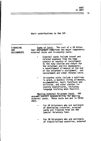19

their contributions to the SVF.

 $\overline{a}$ 

 $\ddot{\phantom{0}}$ 

| FINANCING<br><b>UNV</b><br><b>ASSIGNMENTS</b> | Types of Costs. The cost of a UN Volun-<br>teer assignment comprises two major components:<br>external costs and in-country costs.                                                                                                                                                                       |
|-----------------------------------------------|----------------------------------------------------------------------------------------------------------------------------------------------------------------------------------------------------------------------------------------------------------------------------------------------------------|
|                                               | External costs include travel and<br>related expenses from the home<br>country or country of recruitment<br>to the duty station and return for<br>the volunteer and his dependants;<br>a resettlement allowance at the end<br>of the volunteer's assignment; and<br>recruitment and other related costs. |
|                                               | In-country costs include a settling-<br>in grant, a monthly living allowance,<br>accommodation, basic furniture and<br>utilities, and other similar in-<br>country expenditures, including<br>language training when feasible.                                                                           |
|                                               | Meeting External Volunteer Costs. UNV<br>assumes overall responsibility for meeting<br>external costs. These costs are met in three<br>ways.                                                                                                                                                             |
|                                               | For UN Volunteers who are nationals<br>of developing countries, external<br>costs are financed from the UNV                                                                                                                                                                                              |

For UN Volunteers who are nationals of industrialized countries, external

Special Voluntary Fund.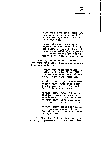costs are met through co-sponsoring funding arrangements between UNV and cooperating organizations in these countries.

In special cases (including UNV regional projects and cases where the funding arrangements described above are unavailable) arrangements are made for external costs to be met from within the project budget.

Financing In-Country Costs. General provisions tor meeting in-country costs can be summarized as follows:

- through project budgets funded from Indicative Planning Figures (!PFs), the UNDP Special Measures Fund for LDCs, and other UNDP resources;
- within project budgets funded from regular agency funds or from contributions made to the project by bilateral donor organizations;
- through special funds-in-trust or negotiated with the host governments or donor countries in order to cover all or part of the in-country costs;
- through exceptional and limited use, as a temporary measure, of the Special Voluntary Fund as explained on pages 17-19.

The financing of UN Volunteers assigned directly to government ministries and depart-

20

WHAT IS UNV?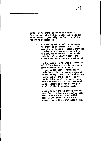ments, or to projects where no specific<br>funding provision had initially been made for UN Volunteers, generally involves one of the following procedures:

- earmarking !PF or related resources in order to establish special UNV umbrella or sectoral support projects; funding provisions are made within the project documents to cover the volunteers' in-country costs and other components, such as equipment;
- in the case of OPAS-type assignments of UN Volunteers directly to govern- **ment services and ministries~**  arranging for host governments to of in-country costs, the local salary<br>equivalent of the posts filled by<br>the UN Volunteers; the government<br>cash contribution in this case could be sufficient to cover either part or all of the in-country costs;
- arranging for and utilizing government funds-in-trust and cash counterpart contributions to establish special UNV umbrella or sectoral support projects as indicated above.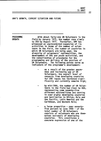UNV'S GROWTH, CURRENT SITUATION AND FUTURE

PROGRAMME **GROWTH** With about forty-one UN Volunteers in the field by January 1972, the number rose slowly to 283 by August 1977. Thereafter, UNV has witnessed an unprecedented expansion of its activities in terms of the number of volunteers in the field, the number of countries in which UN Volunteers are· being used, the diversity of volunteers' nationalities, the development of DDS and youth activities, and the consolidation of procedures for the programming and delivery of the services of UN Volunteers. The following points serve as indicators of the programme's development: as a result of the greater awareness and increasing use of UN Volunteers, the overall level of requests from developing countries ficantly and currently remains high: by mid-1980, the number of UN Volunteers in the field had risen to 800,<br>representing some seventy-five different nationalities and serving<br>in over eighty developing countries and territories in Africa, Asia and the Pacific, Latin America and the Caribbean, and Western Asia; a large proportion - over seventy- five percent by June 1980 - of the total number of UN Volunteers consists of volunteers who are themselves nationals of developing<br>countries. This constitutes a concrete expression of one of the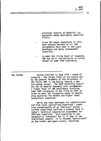practical aspects of technical cooperation among developing countries (TCDC);

- since UNV began operations in 1971, over seventy percent of all UNV assignments have been in the Least Developed and Newly Independent **Countries;**
- to meet the rising level of requests, UNV has built and maintains an active roster of some 1500 candidates.

THE FUTURE Having attained in June 1979 - ahead of schedule - the target level of assistance set by the General Assembly of 500 volunteers in the field, UNV is now moving towards a new assistance target. The UNDP Governing Council and the UN General Assembly have recommended a higher level of UNV assistance involving some 1000 volunteers in the field by 1983 in order to meet the increasing needs of developing countries for middle and higher level operational expertise.

> While the need continues for sophisticated<br>and high-level specialized expertise - exper-<br>tise predominantly of an "advisory" nature -<br>current experience confirms a growing need in today's technical cooperation programmes for UNV-type expertise. Such expertise is not necessarily "advisory" nor is it that of the traditional expert; it is instead "operational" at the middle and upper-levels, involving

23

WHAT IS UNV?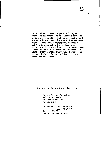technical assistance manpower willing to share its experience at the working level as operational experts. Such operational experts are able to work and live where they are most needed. They are, furthermore, generally willing to experience the difficulties encountered by the national counterparts themselves because of insufficient economic and administrative infrastructures. Herein lies the particular relevance of UNV's technical personnel assistance.

For further information, please contact:

United Nations Volunteers Palais des Nations CH-1211 Geneva 10 Switzerland

Telephone: (022) 98 58 50 (022) 98 84 00 Telex: 289620 Cable: UNDEVPR0 GENEVA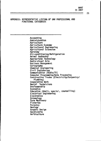### APPENDIX: REPRESENTATIVE LSTING OF UNY PROFESSIONAL ANO FUNCTIONAL CATEGORIES

Accounting Administration Agriculture<br>Agriculture Economy Agricultural Engineering<br>Agricultural Extension Agronomy Air-conditioning/Refrigeration<br>Animal Husbandry Appropriate Technology<br>Audio-visual Arts Business Management<br>Cartography<br>Chemical Engineering Civil Engineering<br>Communication (Radio/TV)<br>Computer Programming/Data Processing Construction Trades (Electricity/Carpentry/<br>- Plumbing)<br>Cooperative Work Dental Technicians Draftsmanship<br>Economics Education (Adult, special, counselling)<br>Electrical Engineering<br>Electronics Entomology Farm Machinery Fisheries Forestry Geology Graphic Design Handicrafts **Horticulture**